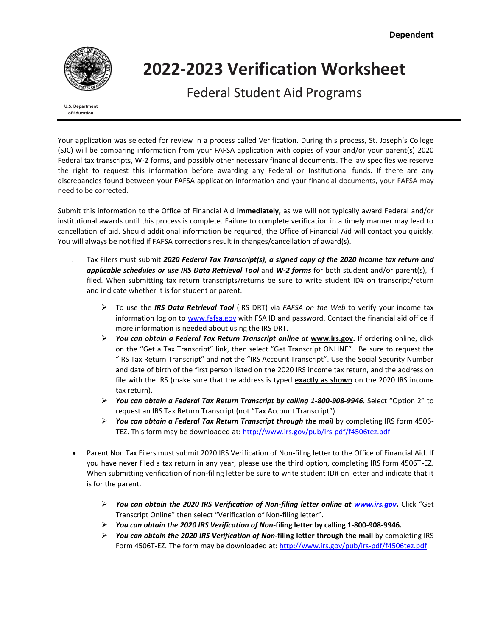

# **2022‐2023 Verification Worksheet**

Federal Student Aid Programs

**U.S. Department of Education**

Your application was selected for review in a process called Verification. During this process, St. Joseph's College (SJC) will be comparing information from your FAFSA application with copies of your and/or your parent(s) 2020 Federal tax transcripts, W-2 forms, and possibly other necessary financial documents. The law specifies we reserve the right to request this information before awarding any Federal or Institutional funds. If there are any discrepancies found between your FAFSA application information and your financial documents, your FAFSA may need to be corrected.

Submit this information to the Office of Financial Aid **immediately,** as we will not typically award Federal and/or institutional awards until this process is complete. Failure to complete verification in a timely manner may lead to cancellation of aid. Should additional information be required, the Office of Financial Aid will contact you quickly. You will always be notified if FAFSA corrections result in changes/cancellation of award(s).

- Tax Filers must submit *2020 Federal Tax Transcript(s), a signed copy of the 2020 income tax return and applicable schedules or use IRS Data Retrieval Tool* and *W-2 forms* for both student and/or parent(s), if filed. When submitting tax return transcripts/returns be sure to write student ID# on transcript/return and indicate whether it is for student or parent.
	- To use the *IRS Data Retrieval Tool* (IRS DRT) via *FAFSA on the Web* to verify your income tax information log on t[o www.fafsa.gov](http://www.fafsa.gov/) with FSA ID and password. Contact the financial aid office if more information is needed about using the IRS DRT.
	- *You can obtain a Federal Tax Return Transcript online at* **[www.irs.gov.](http://www.irs.gov/)** If ordering online, click on the "Get a Tax Transcript" link, then select "Get Transcript ONLINE". Be sure to request the "IRS Tax Return Transcript" and **not** the "IRS Account Transcript". Use the Social Security Number and date of birth of the first person listed on the 2020 IRS income tax return, and the address on file with the IRS (make sure that the address is typed **exactly as shown** on the 2020 IRS income tax return).
	- *You can obtain a Federal Tax Return Transcript by calling 1-800-908-9946.* Select "Option 2" to request an IRS Tax Return Transcript (not "Tax Account Transcript").
	- *You can obtain a Federal Tax Return Transcript through the mail* by completing IRS form 4506- TEZ. This form may be downloaded at:<http://www.irs.gov/pub/irs-pdf/f4506tez.pdf>
- Parent Non Tax Filers must submit 2020 IRS Verification of Non-filing letter to the Office of Financial Aid. If you have never filed a tax return in any year, please use the third option, completing IRS form 4506T-EZ. When submitting verification of non-filing letter be sure to write student ID# on letter and indicate that it is for the parent.
	- *You can obtain the 2020 IRS Verification of Non-filing letter online at [www.irs.gov](http://www.irs.gov/)***.** Click "Get Transcript Online" then select "Verification of Non-filing letter".
	- *You can obtain the 2020 IRS Verification of Non-***filing letter by calling 1-800-908-9946.**
	- *You can obtain the 2020 IRS Verification of Non-***filing letter through the mail** by completing IRS Form 4506T-EZ. The form may be downloaded at:<http://www.irs.gov/pub/irs-pdf/f4506tez.pdf>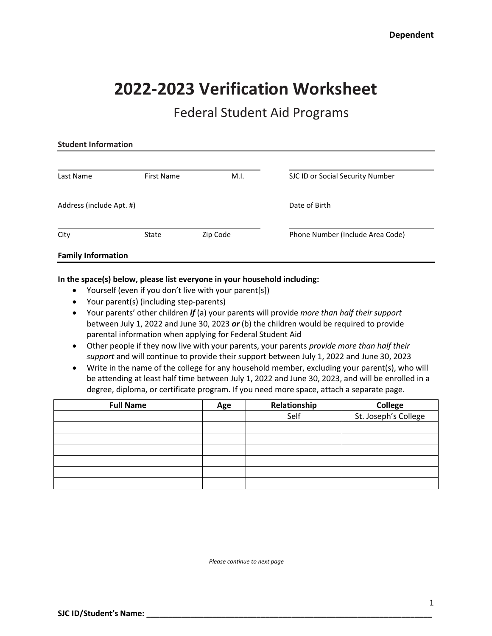# **2022‐2023 Verification Worksheet**

# Federal Student Aid Programs

| <b>Student Information</b> |                   |          |                                  |  |
|----------------------------|-------------------|----------|----------------------------------|--|
|                            |                   |          |                                  |  |
| Last Name                  | <b>First Name</b> | M.I.     | SJC ID or Social Security Number |  |
| Address (include Apt. #)   |                   |          | Date of Birth                    |  |
| City                       | State             | Zip Code | Phone Number (Include Area Code) |  |
| <b>Family Information</b>  |                   |          |                                  |  |

## **In the space(s) below, please list everyone in your household including:**

- Yourself (even if you don't live with your parent[s])
- Your parent(s) (including step-parents)
- Your parents' other children *if* (a) your parents will provide *more than half their support*  between July 1, 2022 and June 30, 2023 *or* (b) the children would be required to provide parental information when applying for Federal Student Aid
- Other people if they now live with your parents, your parents *provide more than half their support* and will continue to provide their support between July 1, 2022 and June 30, 2023
- Write in the name of the college for any household member, excluding your parent(s), who will be attending at least half time between July 1, 2022 and June 30, 2023, and will be enrolled in a degree, diploma, or certificate program. If you need more space, attach a separate page.

| <b>Full Name</b> | Age | Relationship | College              |
|------------------|-----|--------------|----------------------|
|                  |     | Self         | St. Joseph's College |
|                  |     |              |                      |
|                  |     |              |                      |
|                  |     |              |                      |
|                  |     |              |                      |
|                  |     |              |                      |
|                  |     |              |                      |

*Please continue to next page*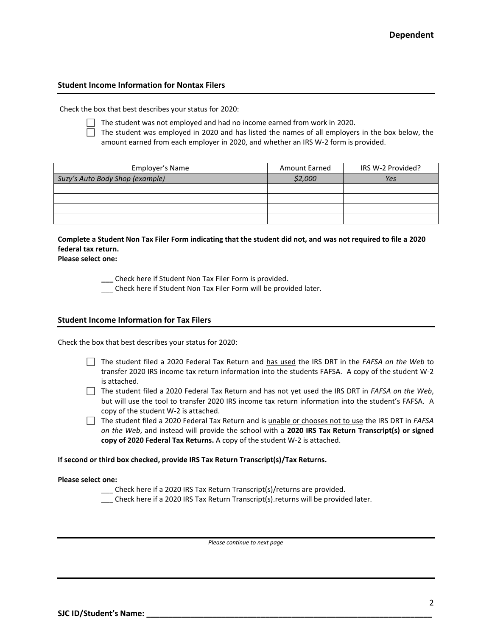# **Student Income Information for Nontax Filers**

Check the box that best describes your status for 2020:

 $\Box$  The student was not employed and had no income earned from work in 2020.

 $\Box$  The student was employed in 2020 and has listed the names of all employers in the box below, the amount earned from each employer in 2020, and whether an IRS W-2 form is provided.

| Employer's Name                 | <b>Amount Earned</b> | IRS W-2 Provided? |
|---------------------------------|----------------------|-------------------|
| Suzy's Auto Body Shop (example) | \$2,000              | Yes               |
|                                 |                      |                   |
|                                 |                      |                   |
|                                 |                      |                   |
|                                 |                      |                   |

# **Complete a Student Non Tax Filer Form indicating that the student did not, and was not required to file a 2020 federal tax return.**

**Please select one:**

 **\_\_\_** Check here if Student Non Tax Filer Form is provided.

\_\_\_ Check here if Student Non Tax Filer Form will be provided later.

#### **Student Income Information for Tax Filers**

Check the box that best describes your status for 2020:

- The student filed a 2020 Federal Tax Return and has used the IRS DRT in the *FAFSA on the Web* to transfer 2020 IRS income tax return information into the students FAFSA. A copy of the student W-2 is attached.
- The student filed a 2020 Federal Tax Return and has not yet used the IRS DRT in *FAFSA on the Web*, but will use the tool to transfer 2020 IRS income tax return information into the student's FAFSA. A copy of the student W-2 is attached.
- The student filed a 2020 Federal Tax Return and is unable or chooses not to use the IRS DRT in *FAFSA on the Web*, and instead will provide the school with a **2020 IRS Tax Return Transcript(s) or signed copy of 2020 Federal Tax Returns.** A copy of the student W-2 is attached.

#### **If second or third box checked, provide IRS Tax Return Transcript(s)/Tax Returns.**

#### **Please select one:**

- \_\_\_ Check here if a 2020 IRS Tax Return Transcript(s)/returns are provided.
- \_\_\_ Check here if a 2020 IRS Tax Return Transcript(s).returns will be provided later.

*Please continue to next page*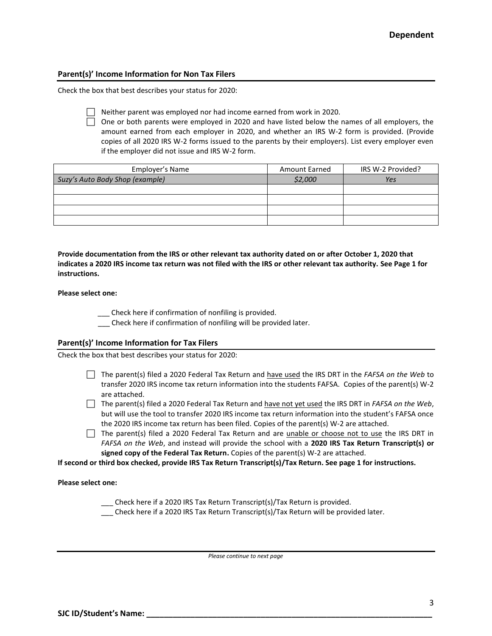## **Parent(s)' Income Information for Non Tax Filers**

Check the box that best describes your status for 2020:



 $\Box$  Neither parent was employed nor had income earned from work in 2020.

 $\Box$  One or both parents were employed in 2020 and have listed below the names of all employers, the amount earned from each employer in 2020, and whether an IRS W-2 form is provided. (Provide copies of all 2020 IRS W-2 forms issued to the parents by their employers). List every employer even if the employer did not issue and IRS W-2 form.

| Employer's Name                 | <b>Amount Earned</b> | IRS W-2 Provided? |
|---------------------------------|----------------------|-------------------|
| Suzy's Auto Body Shop (example) | \$2,000              | Yes               |
|                                 |                      |                   |
|                                 |                      |                   |
|                                 |                      |                   |
|                                 |                      |                   |

**Provide documentation from the IRS or other relevant tax authority dated on or after October 1, 2020 that indicates a 2020 IRS income tax return was not filed with the IRS or other relevant tax authority. See Page 1 for instructions.**

#### **Please select one:**

\_\_\_ Check here if confirmation of nonfiling is provided.

\_\_\_ Check here if confirmation of nonfiling will be provided later.

### **Parent(s)' Income Information for Tax Filers**

Check the box that best describes your status for 2020:

- The parent(s) filed a 2020 Federal Tax Return and have used the IRS DRT in the *FAFSA on the Web* to transfer 2020 IRS income tax return information into the students FAFSA. Copies of the parent(s) W-2 are attached.
- The parent(s) filed a 2020 Federal Tax Return and have not yet used the IRS DRT in *FAFSA on the Web*, but will use the tool to transfer 2020 IRS income tax return information into the student's FAFSA once the 2020 IRS income tax return has been filed. Copies of the parent(s) W-2 are attached.
- $\Box$  The parent(s) filed a 2020 Federal Tax Return and are unable or choose not to use the IRS DRT in *FAFSA on the Web*, and instead will provide the school with a **2020 IRS Tax Return Transcript(s) or signed copy of the Federal Tax Return.** Copies of the parent(s) W-2 are attached.

**If second or third box checked, provide IRS Tax Return Transcript(s)/Tax Return. See page 1 for instructions.**

#### **Please select one:**

- \_\_\_ Check here if a 2020 IRS Tax Return Transcript(s)/Tax Return is provided.
- \_\_\_ Check here if a 2020 IRS Tax Return Transcript(s)/Tax Return will be provided later.

*Please continue to next page*